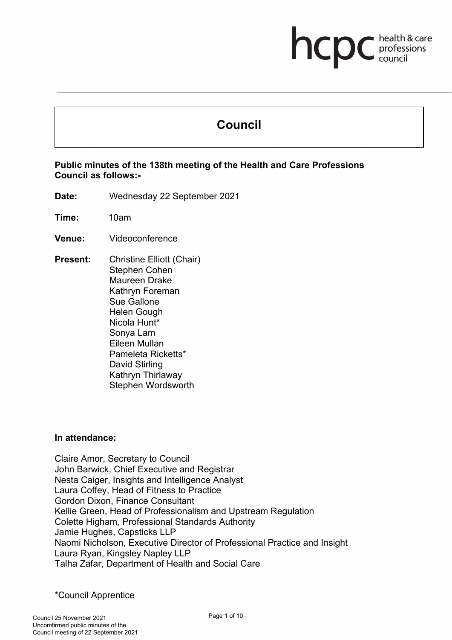# health & care **health & card**<br>council

# **Council**

#### **Public minutes of the 138th meeting of the Health and Care Professions Council as follows:-**

**Date:** Wednesday 22 September 2021

**Time:** 10am

- **Venue:** Videoconference
- **Present:** Christine Elliott (Chair) Stephen Cohen Maureen Drake Kathryn Foreman Sue Gallone Helen Gough Nicola Hunt\* Sonya Lam Eileen Mullan Pameleta Ricketts\* David Stirling Kathryn Thirlaway Stephen Wordsworth

#### **In attendance:**

Claire Amor, Secretary to Council John Barwick, Chief Executive and Registrar Nesta Caiger, Insights and Intelligence Analyst Laura Coffey, Head of Fitness to Practice Gordon Dixon, Finance Consultant Kellie Green, Head of Professionalism and Upstream Regulation Colette Higham, Professional Standards Authority Jamie Hughes, Capsticks LLP Naomi Nicholson, Executive Director of Professional Practice and Insight Laura Ryan, Kingsley Napley LLP Talha Zafar, Department of Health and Social Care

#### \*Council Apprentice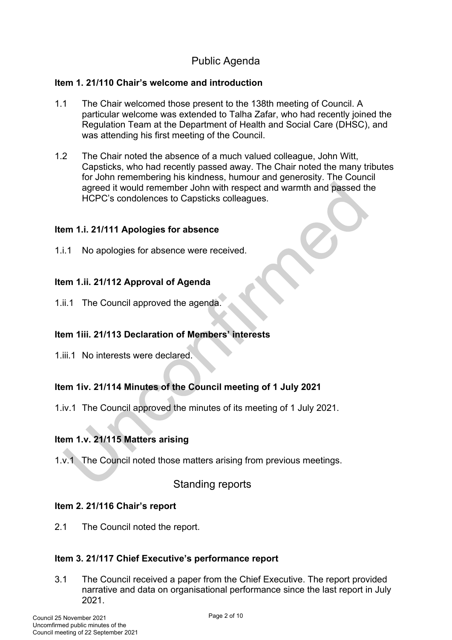# Public Agenda

#### **Item 1. 21/110 Chair's welcome and introduction**

- 1.1 The Chair welcomed those present to the 138th meeting of Council. A particular welcome was extended to Talha Zafar, who had recently joined the Regulation Team at the Department of Health and Social Care (DHSC), and was attending his first meeting of the Council.
- 1.2 The Chair noted the absence of a much valued colleague, John Witt, Capsticks, who had recently passed away. The Chair noted the many tributes for John remembering his kindness, humour and generosity. The Council agreed it would remember John with respect and warmth and passed the HCPC's condolences to Capsticks colleagues.

#### **Item 1.i. 21/111 Apologies for absence**

1.i.1 No apologies for absence were received.

# **Item 1.ii. 21/112 Approval of Agenda**

1.ii.1 The Council approved the agenda.

# **Item 1iii. 21/113 Declaration of Members' interests**

1.iii.1 No interests were declared.

# **Item 1iv. 21/114 Minutes of the Council meeting of 1 July 2021**

1.iv.1 The Council approved the minutes of its meeting of 1 July 2021.

# **Item 1.v. 21/115 Matters arising**

1.v.1 The Council noted those matters arising from previous meetings.

# Standing reports

#### **Item 2. 21/116 Chair's report**

2.1 The Council noted the report.

# **Item 3. 21/117 Chief Executive's performance report**

3.1 The Council received a paper from the Chief Executive. The report provided narrative and data on organisational performance since the last report in July 2021.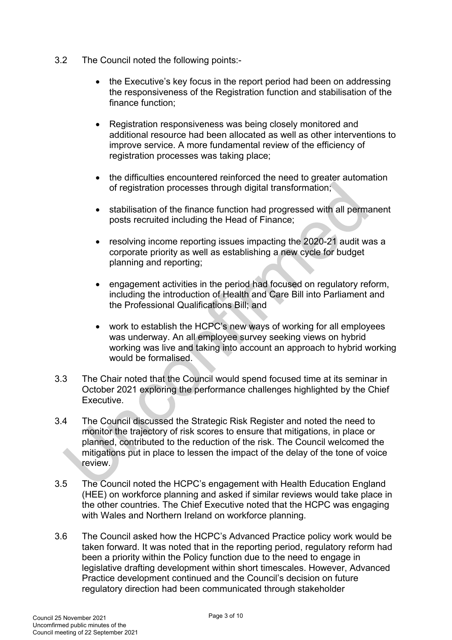- 3.2 The Council noted the following points:-
	- the Executive's key focus in the report period had been on addressing the responsiveness of the Registration function and stabilisation of the finance function;
	- Registration responsiveness was being closely monitored and additional resource had been allocated as well as other interventions to improve service. A more fundamental review of the efficiency of registration processes was taking place;
	- the difficulties encountered reinforced the need to greater automation of registration processes through digital transformation;
	- stabilisation of the finance function had progressed with all permanent posts recruited including the Head of Finance;
	- resolving income reporting issues impacting the 2020-21 audit was a corporate priority as well as establishing a new cycle for budget planning and reporting;
	- engagement activities in the period had focused on regulatory reform, including the introduction of Health and Care Bill into Parliament and the Professional Qualifications Bill; and
	- work to establish the HCPC's new ways of working for all employees was underway. An all employee survey seeking views on hybrid working was live and taking into account an approach to hybrid working would be formalised.
- 3.3 The Chair noted that the Council would spend focused time at its seminar in October 2021 exploring the performance challenges highlighted by the Chief Executive.
- 3.4 The Council discussed the Strategic Risk Register and noted the need to monitor the trajectory of risk scores to ensure that mitigations, in place or planned, contributed to the reduction of the risk. The Council welcomed the mitigations put in place to lessen the impact of the delay of the tone of voice review.
- 3.5 The Council noted the HCPC's engagement with Health Education England (HEE) on workforce planning and asked if similar reviews would take place in the other countries. The Chief Executive noted that the HCPC was engaging with Wales and Northern Ireland on workforce planning.
- 3.6 The Council asked how the HCPC's Advanced Practice policy work would be taken forward. It was noted that in the reporting period, regulatory reform had been a priority within the Policy function due to the need to engage in legislative drafting development within short timescales. However, Advanced Practice development continued and the Council's decision on future regulatory direction had been communicated through stakeholder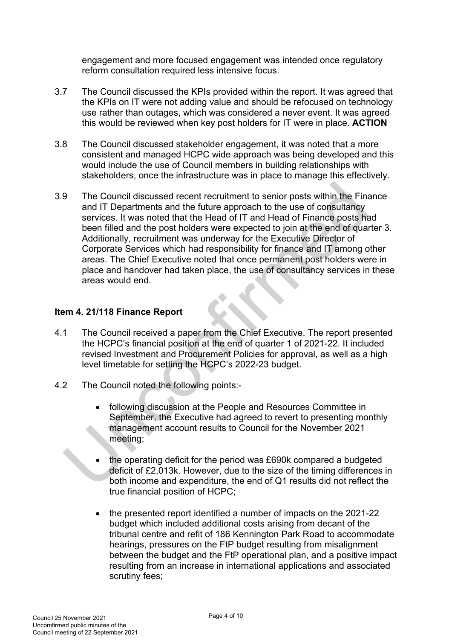engagement and more focused engagement was intended once regulatory reform consultation required less intensive focus.

- 3.7 The Council discussed the KPIs provided within the report. It was agreed that the KPIs on IT were not adding value and should be refocused on technology use rather than outages, which was considered a never event. It was agreed this would be reviewed when key post holders for IT were in place. **ACTION**
- 3.8 The Council discussed stakeholder engagement, it was noted that a more consistent and managed HCPC wide approach was being developed and this would include the use of Council members in building relationships with stakeholders, once the infrastructure was in place to manage this effectively.
- 3.9 The Council discussed recent recruitment to senior posts within the Finance and IT Departments and the future approach to the use of consultancy services. It was noted that the Head of IT and Head of Finance posts had been filled and the post holders were expected to join at the end of quarter 3. Additionally, recruitment was underway for the Executive Director of Corporate Services which had responsibility for finance and IT among other areas. The Chief Executive noted that once permanent post holders were in place and handover had taken place, the use of consultancy services in these areas would end.

#### **Item 4. 21/118 Finance Report**

- 4.1 The Council received a paper from the Chief Executive. The report presented the HCPC's financial position at the end of quarter 1 of 2021-22. It included revised Investment and Procurement Policies for approval, as well as a high level timetable for setting the HCPC's 2022-23 budget.
- 4.2 The Council noted the following points:-
	- following discussion at the People and Resources Committee in September, the Executive had agreed to revert to presenting monthly management account results to Council for the November 2021 meeting;
	- the operating deficit for the period was £690k compared a budgeted deficit of £2,013k. However, due to the size of the timing differences in both income and expenditure, the end of Q1 results did not reflect the true financial position of HCPC;
	- the presented report identified a number of impacts on the 2021-22 budget which included additional costs arising from decant of the tribunal centre and refit of 186 Kennington Park Road to accommodate hearings, pressures on the FtP budget resulting from misalignment between the budget and the FtP operational plan, and a positive impact resulting from an increase in international applications and associated scrutiny fees;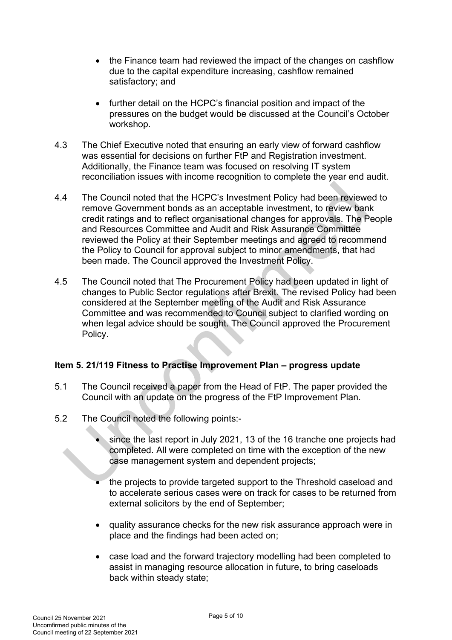- the Finance team had reviewed the impact of the changes on cashflow due to the capital expenditure increasing, cashflow remained satisfactory; and
- further detail on the HCPC's financial position and impact of the pressures on the budget would be discussed at the Council's October workshop.
- 4.3 The Chief Executive noted that ensuring an early view of forward cashflow was essential for decisions on further FtP and Registration investment. Additionally, the Finance team was focused on resolving IT system reconciliation issues with income recognition to complete the year end audit.
- 4.4 The Council noted that the HCPC's Investment Policy had been reviewed to remove Government bonds as an acceptable investment, to review bank credit ratings and to reflect organisational changes for approvals. The People and Resources Committee and Audit and Risk Assurance Committee reviewed the Policy at their September meetings and agreed to recommend the Policy to Council for approval subject to minor amendments, that had been made. The Council approved the Investment Policy.
- 4.5 The Council noted that The Procurement Policy had been updated in light of changes to Public Sector regulations after Brexit. The revised Policy had been considered at the September meeting of the Audit and Risk Assurance Committee and was recommended to Council subject to clarified wording on when legal advice should be sought. The Council approved the Procurement Policy.

# **Item 5. 21/119 Fitness to Practise Improvement Plan – progress update**

- 5.1 The Council received a paper from the Head of FtP. The paper provided the Council with an update on the progress of the FtP Improvement Plan.
- 5.2 The Council noted the following points:
	- since the last report in July 2021, 13 of the 16 tranche one projects had completed. All were completed on time with the exception of the new case management system and dependent projects;
	- the projects to provide targeted support to the Threshold caseload and to accelerate serious cases were on track for cases to be returned from external solicitors by the end of September;
	- quality assurance checks for the new risk assurance approach were in place and the findings had been acted on;
	- case load and the forward trajectory modelling had been completed to assist in managing resource allocation in future, to bring caseloads back within steady state;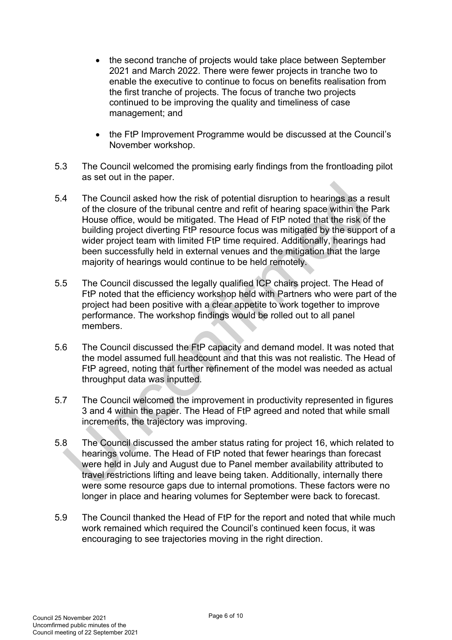- the second tranche of projects would take place between September 2021 and March 2022. There were fewer projects in tranche two to enable the executive to continue to focus on benefits realisation from the first tranche of projects. The focus of tranche two projects continued to be improving the quality and timeliness of case management; and
- the FtP Improvement Programme would be discussed at the Council's November workshop.
- 5.3 The Council welcomed the promising early findings from the frontloading pilot as set out in the paper.
- 5.4 The Council asked how the risk of potential disruption to hearings as a result of the closure of the tribunal centre and refit of hearing space within the Park House office, would be mitigated. The Head of FtP noted that the risk of the building project diverting FtP resource focus was mitigated by the support of a wider project team with limited FtP time required. Additionally, hearings had been successfully held in external venues and the mitigation that the large majority of hearings would continue to be held remotely.
- 5.5 The Council discussed the legally qualified ICP chairs project. The Head of FtP noted that the efficiency workshop held with Partners who were part of the project had been positive with a clear appetite to work together to improve performance. The workshop findings would be rolled out to all panel members.
- 5.6 The Council discussed the FtP capacity and demand model. It was noted that the model assumed full headcount and that this was not realistic. The Head of FtP agreed, noting that further refinement of the model was needed as actual throughput data was inputted.
- 5.7 The Council welcomed the improvement in productivity represented in figures 3 and 4 within the paper. The Head of FtP agreed and noted that while small increments, the trajectory was improving.
- 5.8 The Council discussed the amber status rating for project 16, which related to hearings volume. The Head of FtP noted that fewer hearings than forecast were held in July and August due to Panel member availability attributed to travel restrictions lifting and leave being taken. Additionally, internally there were some resource gaps due to internal promotions. These factors were no longer in place and hearing volumes for September were back to forecast.
- 5.9 The Council thanked the Head of FtP for the report and noted that while much work remained which required the Council's continued keen focus, it was encouraging to see trajectories moving in the right direction.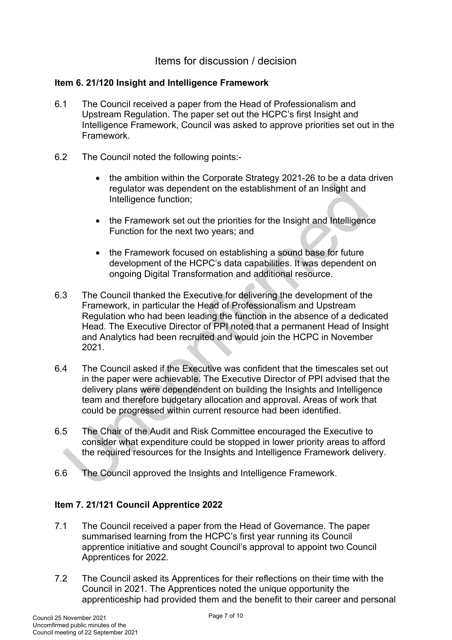# Items for discussion / decision

#### **Item 6. 21/120 Insight and Intelligence Framework**

- 6.1 The Council received a paper from the Head of Professionalism and Upstream Regulation. The paper set out the HCPC's first Insight and Intelligence Framework, Council was asked to approve priorities set out in the Framework.
- 6.2 The Council noted the following points:-
	- the ambition within the Corporate Strategy 2021-26 to be a data driven regulator was dependent on the establishment of an Insight and Intelligence function;
	- the Framework set out the priorities for the Insight and Intelligence Function for the next two years; and
	- the Framework focused on establishing a sound base for future development of the HCPC's data capabilities. It was dependent on ongoing Digital Transformation and additional resource.
- 6.3 The Council thanked the Executive for delivering the development of the Framework, in particular the Head of Professionalism and Upstream Regulation who had been leading the function in the absence of a dedicated Head. The Executive Director of PPI noted that a permanent Head of Insight and Analytics had been recruited and would join the HCPC in November 2021.
- 6.4 The Council asked if the Executive was confident that the timescales set out in the paper were achievable. The Executive Director of PPI advised that the delivery plans were dependendent on building the Insights and Intelligence team and therefore budgetary allocation and approval. Areas of work that could be progressed within current resource had been identified.
- 6.5 The Chair of the Audit and Risk Committee encouraged the Executive to consider what expenditure could be stopped in lower priority areas to afford the required resources for the Insights and Intelligence Framework delivery.
- 6.6 The Council approved the Insights and Intelligence Framework.

# **Item 7. 21/121 Council Apprentice 2022**

- 7.1 The Council received a paper from the Head of Governance. The paper summarised learning from the HCPC's first year running its Council apprentice initiative and sought Council's approval to appoint two Council Apprentices for 2022.
- 7.2 The Council asked its Apprentices for their reflections on their time with the Council in 2021. The Apprentices noted the unique opportunity the apprenticeship had provided them and the benefit to their career and personal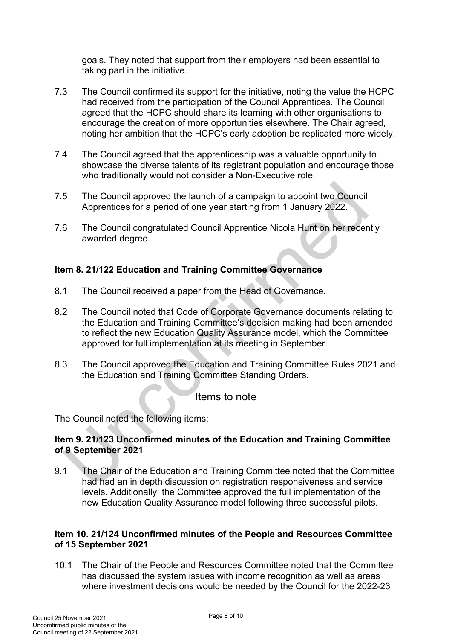goals. They noted that support from their employers had been essential to taking part in the initiative.

- 7.3 The Council confirmed its support for the initiative, noting the value the HCPC had received from the participation of the Council Apprentices. The Council agreed that the HCPC should share its learning with other organisations to encourage the creation of more opportunities elsewhere. The Chair agreed, noting her ambition that the HCPC's early adoption be replicated more widely.
- 7.4 The Council agreed that the apprenticeship was a valuable opportunity to showcase the diverse talents of its registrant population and encourage those who traditionally would not consider a Non-Executive role.
- 7.5 The Council approved the launch of a campaign to appoint two Council Apprentices for a period of one year starting from 1 January 2022.
- 7.6 The Council congratulated Council Apprentice Nicola Hunt on her recently awarded degree.

# **Item 8. 21/122 Education and Training Committee Governance**

- 8.1 The Council received a paper from the Head of Governance.
- 8.2 The Council noted that Code of Corporate Governance documents relating to the Education and Training Committee's decision making had been amended to reflect the new Education Quality Assurance model, which the Committee approved for full implementation at its meeting in September.
- 8.3 The Council approved the Education and Training Committee Rules 2021 and the Education and Training Committee Standing Orders.

Items to note

The Council noted the following items:

#### **Item 9. 21/123 Unconfirmed minutes of the Education and Training Committee of 9 September 2021**

9.1 The Chair of the Education and Training Committee noted that the Committee had had an in depth discussion on registration responsiveness and service levels. Additionally, the Committee approved the full implementation of the new Education Quality Assurance model following three successful pilots.

#### **Item 10. 21/124 Unconfirmed minutes of the People and Resources Committee of 15 September 2021**

10.1 The Chair of the People and Resources Committee noted that the Committee has discussed the system issues with income recognition as well as areas where investment decisions would be needed by the Council for the 2022-23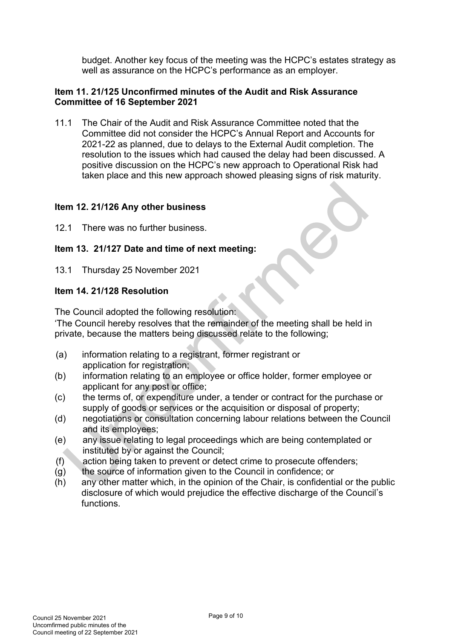budget. Another key focus of the meeting was the HCPC's estates strategy as well as assurance on the HCPC's performance as an employer.

#### **Item 11. 21/125 Unconfirmed minutes of the Audit and Risk Assurance Committee of 16 September 2021**

11.1 The Chair of the Audit and Risk Assurance Committee noted that the Committee did not consider the HCPC's Annual Report and Accounts for 2021-22 as planned, due to delays to the External Audit completion. The resolution to the issues which had caused the delay had been discussed. A positive discussion on the HCPC's new approach to Operational Risk had taken place and this new approach showed pleasing signs of risk maturity.

#### **Item 12. 21/126 Any other business**

12.1 There was no further business.

# **Item 13. 21/127 Date and time of next meeting:**

13.1 Thursday 25 November 2021

#### **Item 14. 21/128 Resolution**

The Council adopted the following resolution:

'The Council hereby resolves that the remainder of the meeting shall be held in private, because the matters being discussed relate to the following;

- (a) information relating to a registrant, former registrant or application for registration;
- (b) information relating to an employee or office holder, former employee or applicant for any post or office;
- (c) the terms of, or expenditure under, a tender or contract for the purchase or supply of goods or services or the acquisition or disposal of property;
- (d) negotiations or consultation concerning labour relations between the Council and its employees;
- (e) any issue relating to legal proceedings which are being contemplated or instituted by or against the Council;
- (f) action being taken to prevent or detect crime to prosecute offenders;
- (g) the source of information given to the Council in confidence; or
- (h) any other matter which, in the opinion of the Chair, is confidential or the public disclosure of which would prejudice the effective discharge of the Council's functions.